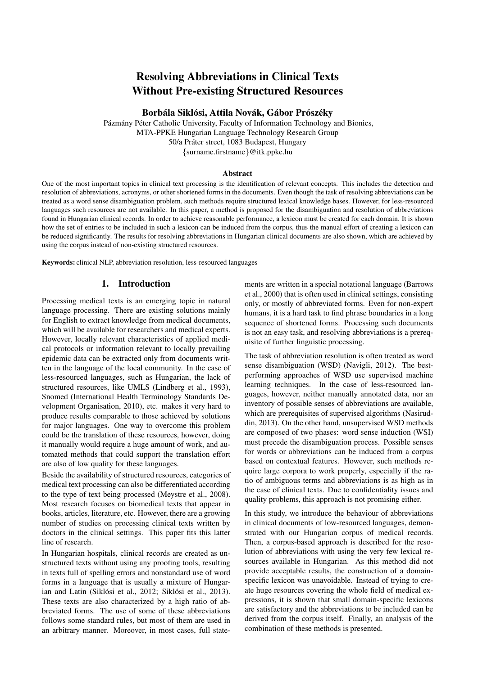# Resolving Abbreviations in Clinical Texts Without Pre-existing Structured Resources

## Borbála Siklósi, Attila Novák, Gábor Prószéky

Pázmány Péter Catholic University, Faculty of Information Technology and Bionics, MTA-PPKE Hungarian Language Technology Research Group 50/a Práter street, 1083 Budapest, Hungary {surname.firstname}@itk.ppke.hu

#### **Abstract**

One of the most important topics in clinical text processing is the identification of relevant concepts. This includes the detection and resolution of abbreviations, acronyms, or other shortened forms in the documents. Even though the task of resolving abbreviations can be treated as a word sense disambiguation problem, such methods require structured lexical knowledge bases. However, for less-resourced languages such resources are not available. In this paper, a method is proposed for the disambiguation and resolution of abbreviations found in Hungarian clinical records. In order to achieve reasonable performance, a lexicon must be created for each domain. It is shown how the set of entries to be included in such a lexicon can be induced from the corpus, thus the manual effort of creating a lexicon can be reduced significantly. The results for resolving abbreviations in Hungarian clinical documents are also shown, which are achieved by using the corpus instead of non-existing structured resources.

Keywords: clinical NLP, abbreviation resolution, less-resourced languages

### 1. Introduction

Processing medical texts is an emerging topic in natural language processing. There are existing solutions mainly for English to extract knowledge from medical documents, which will be available for researchers and medical experts. However, locally relevant characteristics of applied medical protocols or information relevant to locally prevailing epidemic data can be extracted only from documents written in the language of the local community. In the case of less-resourced languages, such as Hungarian, the lack of structured resources, like UMLS (Lindberg et al., 1993), Snomed (International Health Terminology Standards Development Organisation, 2010), etc. makes it very hard to produce results comparable to those achieved by solutions for major languages. One way to overcome this problem could be the translation of these resources, however, doing it manually would require a huge amount of work, and automated methods that could support the translation effort are also of low quality for these languages.

Beside the availability of structured resources, categories of medical text processing can also be differentiated according to the type of text being processed (Meystre et al., 2008). Most research focuses on biomedical texts that appear in books, articles, literature, etc. However, there are a growing number of studies on processing clinical texts written by doctors in the clinical settings. This paper fits this latter line of research.

In Hungarian hospitals, clinical records are created as unstructured texts without using any proofing tools, resulting in texts full of spelling errors and nonstandard use of word forms in a language that is usually a mixture of Hungarian and Latin (Siklósi et al., 2012; Siklósi et al., 2013). These texts are also characterized by a high ratio of abbreviated forms. The use of some of these abbreviations follows some standard rules, but most of them are used in an arbitrary manner. Moreover, in most cases, full statements are written in a special notational language (Barrows et al., 2000) that is often used in clinical settings, consisting only, or mostly of abbreviated forms. Even for non-expert humans, it is a hard task to find phrase boundaries in a long sequence of shortened forms. Processing such documents is not an easy task, and resolving abbreviations is a prerequisite of further linguistic processing.

The task of abbreviation resolution is often treated as word sense disambiguation (WSD) (Navigli, 2012). The bestperforming approaches of WSD use supervised machine learning techniques. In the case of less-resourced languages, however, neither manually annotated data, nor an inventory of possible senses of abbreviations are available, which are prerequisites of supervised algorithms (Nasiruddin, 2013). On the other hand, unsupervised WSD methods are composed of two phases: word sense induction (WSI) must precede the disambiguation process. Possible senses for words or abbreviations can be induced from a corpus based on contextual features. However, such methods require large corpora to work properly, especially if the ratio of ambiguous terms and abbreviations is as high as in the case of clinical texts. Due to confidentiality issues and quality problems, this approach is not promising either.

In this study, we introduce the behaviour of abbreviations in clinical documents of low-resourced languages, demonstrated with our Hungarian corpus of medical records. Then, a corpus-based approach is described for the resolution of abbreviations with using the very few lexical resources available in Hungarian. As this method did not provide acceptable results, the construction of a domainspecific lexicon was unavoidable. Instead of trying to create huge resources covering the whole field of medical expressions, it is shown that small domain-specific lexicons are satisfactory and the abbreviations to be included can be derived from the corpus itself. Finally, an analysis of the combination of these methods is presented.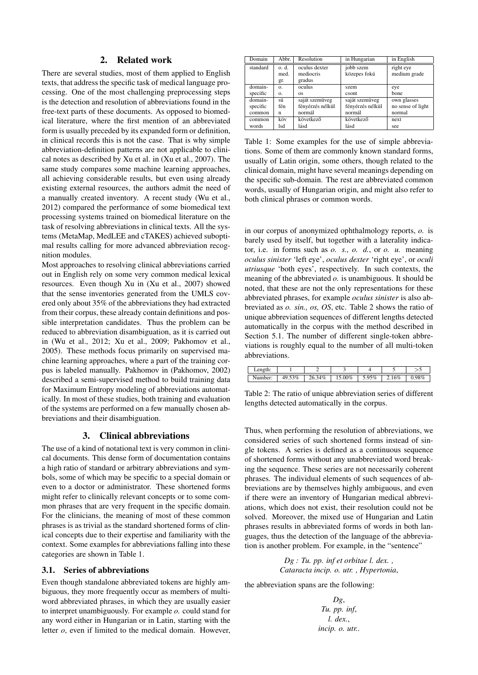### 2. Related work

There are several studies, most of them applied to English texts, that address the specific task of medical language processing. One of the most challenging preprocessing steps is the detection and resolution of abbreviations found in the free-text parts of these documents. As opposed to biomedical literature, where the first mention of an abbreviated form is usually preceded by its expanded form or definition, in clinical records this is not the case. That is why simple abbreviation-definition patterns are not applicable to clinical notes as described by Xu et al. in (Xu et al., 2007). The same study compares some machine learning approaches, all achieving considerable results, but even using already existing external resources, the authors admit the need of a manually created inventory. A recent study (Wu et al., 2012) compared the performance of some biomedical text processing systems trained on biomedical literature on the task of resolving abbreviations in clinical texts. All the systems (MetaMap, MedLEE and cTAKES) achieved suboptimal results calling for more advanced abbreviation recognition modules.

Most approaches to resolving clinical abbreviations carried out in English rely on some very common medical lexical resources. Even though Xu in (Xu et al., 2007) showed that the sense inventories generated from the UMLS covered only about 35% of the abbreviations they had extracted from their corpus, these already contain definitions and possible interpretation candidates. Thus the problem can be reduced to abbreviation disambiguation, as it is carried out in (Wu et al., 2012; Xu et al., 2009; Pakhomov et al., 2005). These methods focus primarily on supervised machine learning approaches, where a part of the training corpus is labeled manually. Pakhomov in (Pakhomov, 2002) described a semi-supervised method to build training data for Maximum Entropy modeling of abbreviations automatically. In most of these studies, both training and evaluation of the systems are performed on a few manually chosen abbreviations and their disambiguation.

### 3. Clinical abbreviations

The use of a kind of notational text is very common in clinical documents. This dense form of documentation contains a high ratio of standard or arbitrary abbreviations and symbols, some of which may be specific to a special domain or even to a doctor or administrator. These shortened forms might refer to clinically relevant concepts or to some common phrases that are very frequent in the specific domain. For the clinicians, the meaning of most of these common phrases is as trivial as the standard shortened forms of clinical concepts due to their expertise and familiarity with the context. Some examples for abbreviations falling into these categories are shown in Table 1.

#### 3.1. Series of abbreviations

Even though standalone abbreviated tokens are highly ambiguous, they more frequently occur as members of multiword abbreviated phrases, in which they are usually easier to interpret unambiguously. For example *o.* could stand for any word either in Hungarian or in Latin, starting with the letter *o*, even if limited to the medical domain. However,

| Domain   | Abbr.       | Resolution                 | in Hungarian     | in English        |  |
|----------|-------------|----------------------------|------------------|-------------------|--|
| standard | o. d.       | oculus dexter<br>jobb szem |                  | right eye         |  |
|          | med.        | mediocris                  | közepes fokú     | medium grade      |  |
|          | gr.         | gradus                     |                  |                   |  |
| domain-  | Ω.          | oculus                     | szem             | eye               |  |
| specific | Ω.          | OS.                        | csont            | bone              |  |
| domain-  | sü          | saját szemüveg             | saját szemüveg   | own glasses       |  |
| specific | fén         | fényérzés nélkül           | fényérzés nélkül | no sense of light |  |
| common   | $\mathbf n$ | normál                     | normál           | normal            |  |
| common   | köv         | következő                  | következő        | next              |  |
| words    | lsd         | lásd                       | lásd             | see               |  |

Table 1: Some examples for the use of simple abbreviations. Some of them are commonly known standard forms, usually of Latin origin, some others, though related to the clinical domain, might have several meanings depending on the specific sub-domain. The rest are abbreviated common words, usually of Hungarian origin, and might also refer to both clinical phrases or common words.

in our corpus of anonymized ophthalmology reports, *o.* is barely used by itself, but together with a laterality indicator, i.e. in forms such as *o. s., o. d.*, or *o. u.* meaning *oculus sinister* 'left eye', *oculus dexter* 'right eye', or *oculi utriusque* 'both eyes', respectively. In such contexts, the meaning of the abbreviated *o.* is unambiguous. It should be noted, that these are not the only representations for these abbreviated phrases, for example *oculus sinister* is also abbreviated as *o. sin., os, OS*, etc. Table 2 shows the ratio of unique abbreviation sequences of different lengths detected automatically in the corpus with the method described in Section 5.1. The number of different single-token abbreviations is roughly equal to the number of all multi-token abbreviations.

| LUIKUI. |            |    |          |     |                 |         |
|---------|------------|----|----------|-----|-----------------|---------|
| $-$     | 530%<br>4Ο | OZ | $\alpha$ | 501 | $\sim$<br>$6\%$ | 8%<br>ິ |

Table 2: The ratio of unique abbreviation series of different lengths detected automatically in the corpus.

Thus, when performing the resolution of abbreviations, we considered series of such shortened forms instead of single tokens. A series is defined as a continuous sequence of shortened forms without any unabbreviated word breaking the sequence. These series are not necessarily coherent phrases. The individual elements of such sequences of abbreviations are by themselves highly ambiguous, and even if there were an inventory of Hungarian medical abbreviations, which does not exist, their resolution could not be solved. Moreover, the mixed use of Hungarian and Latin phrases results in abbreviated forms of words in both languages, thus the detection of the language of the abbreviation is another problem. For example, in the "sentence"

> *Dg : Tu. pp. inf et orbitae l. dex. , Cataracta incip. o. utr. , Hypertonia*,

the abbreviation spans are the following:

*Dg*, *Tu. pp. inf*, *l. dex.*, *incip. o. utr.*.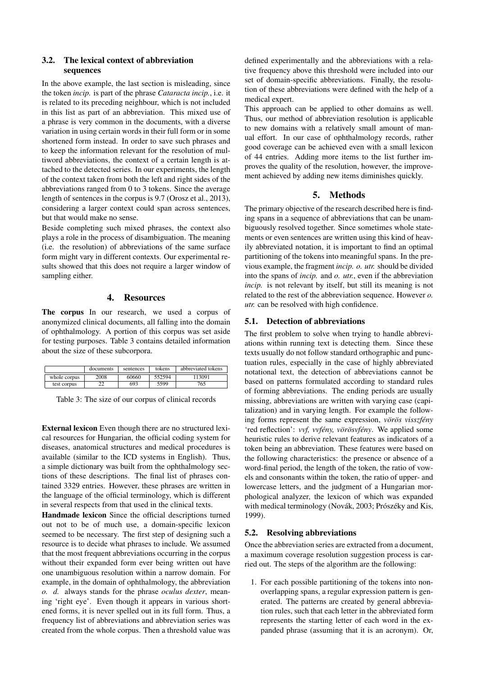### 3.2. The lexical context of abbreviation sequences

In the above example, the last section is misleading, since the token *incip.* is part of the phrase *Cataracta incip.*, i.e. it is related to its preceding neighbour, which is not included in this list as part of an abbreviation. This mixed use of a phrase is very common in the documents, with a diverse variation in using certain words in their full form or in some shortened form instead. In order to save such phrases and to keep the information relevant for the resolution of multiword abbreviations, the context of a certain length is attached to the detected series. In our experiments, the length of the context taken from both the left and right sides of the abbreviations ranged from 0 to 3 tokens. Since the average length of sentences in the corpus is 9.7 (Orosz et al., 2013), considering a larger context could span across sentences, but that would make no sense.

Beside completing such mixed phrases, the context also plays a role in the process of disambiguation. The meaning (i.e. the resolution) of abbreviations of the same surface form might vary in different contexts. Our experimental results showed that this does not require a larger window of sampling either.

### 4. Resources

The corpus In our research, we used a corpus of anonymized clinical documents, all falling into the domain of ophthalmology. A portion of this corpus was set aside for testing purposes. Table 3 contains detailed information about the size of these subcorpora.

|              | documents | sentences | tokens | abbreviated tokens |
|--------------|-----------|-----------|--------|--------------------|
| whole corpus | 2008      | 60660     | 552594 | 113091             |
| test corpus  |           | 693       | 5599   | 765                |

Table 3: The size of our corpus of clinical records

External lexicon Even though there are no structured lexical resources for Hungarian, the official coding system for diseases, anatomical structures and medical procedures is available (similar to the ICD systems in English). Thus, a simple dictionary was built from the ophthalmology sections of these descriptions. The final list of phrases contained 3329 entries. However, these phrases are written in the language of the official terminology, which is different in several respects from that used in the clinical texts.

Handmade lexicon Since the official descriptions turned out not to be of much use, a domain-specific lexicon seemed to be necessary. The first step of designing such a resource is to decide what phrases to include. We assumed that the most frequent abbreviations occurring in the corpus without their expanded form ever being written out have one unambiguous resolution within a narrow domain. For example, in the domain of ophthalmology, the abbreviation *o. d.* always stands for the phrase *oculus dexter*, meaning 'right eye'. Even though it appears in various shortened forms, it is never spelled out in its full form. Thus, a frequency list of abbreviations and abbreviation series was created from the whole corpus. Then a threshold value was defined experimentally and the abbreviations with a relative frequency above this threshold were included into our set of domain-specific abbreviations. Finally, the resolution of these abbreviations were defined with the help of a medical expert.

This approach can be applied to other domains as well. Thus, our method of abbreviation resolution is applicable to new domains with a relatively small amount of manual effort. In our case of ophthalmology records, rather good coverage can be achieved even with a small lexicon of 44 entries. Adding more items to the list further improves the quality of the resolution, however, the improvement achieved by adding new items diminishes quickly.

# 5. Methods

The primary objective of the research described here is finding spans in a sequence of abbreviations that can be unambiguously resolved together. Since sometimes whole statements or even sentences are written using this kind of heavily abbreviated notation, it is important to find an optimal partitioning of the tokens into meaningful spans. In the previous example, the fragment *incip. o. utr.* should be divided into the spans of *incip.* and *o. utr.*, even if the abbreviation *incip.* is not relevant by itself, but still its meaning is not related to the rest of the abbreviation sequence. However *o. utr.* can be resolved with high confidence.

### 5.1. Detection of abbreviations

The first problem to solve when trying to handle abbreviations within running text is detecting them. Since these texts usually do not follow standard orthographic and punctuation rules, especially in the case of highly abbreviated notational text, the detection of abbreviations cannot be based on patterns formulated according to standard rules of forming abbreviations. The ending periods are usually missing, abbreviations are written with varying case (capitalization) and in varying length. For example the following forms represent the same expression, *vörös visszfény* 'red reflection': *vvf, vvfény, vörösvfény*. We applied some heuristic rules to derive relevant features as indicators of a token being an abbreviation. These features were based on the following characteristics: the presence or absence of a word-final period, the length of the token, the ratio of vowels and consonants within the token, the ratio of upper- and lowercase letters, and the judgment of a Hungarian morphological analyzer, the lexicon of which was expanded with medical terminology (Novák, 2003; Prószéky and Kis, 1999).

### 5.2. Resolving abbreviations

Once the abbreviation series are extracted from a document, a maximum coverage resolution suggestion process is carried out. The steps of the algorithm are the following:

1. For each possible partitioning of the tokens into nonoverlapping spans, a regular expression pattern is generated. The patterns are created by general abbreviation rules, such that each letter in the abbreviated form represents the starting letter of each word in the expanded phrase (assuming that it is an acronym). Or,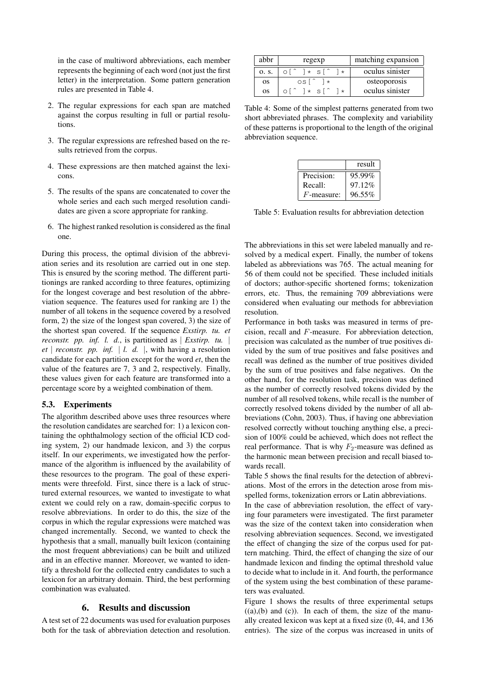in the case of multiword abbreviations, each member represents the beginning of each word (not just the first letter) in the interpretation. Some pattern generation rules are presented in Table 4.

- 2. The regular expressions for each span are matched against the corpus resulting in full or partial resolutions.
- 3. The regular expressions are refreshed based on the results retrieved from the corpus.
- 4. These expressions are then matched against the lexicons.
- 5. The results of the spans are concatenated to cover the whole series and each such merged resolution candidates are given a score appropriate for ranking.
- 6. The highest ranked resolution is considered as the final one.

During this process, the optimal division of the abbreviation series and its resolution are carried out in one step. This is ensured by the scoring method. The different partitionings are ranked according to three features, optimizing for the longest coverage and best resolution of the abbreviation sequence. The features used for ranking are 1) the number of all tokens in the sequence covered by a resolved form, 2) the size of the longest span covered, 3) the size of the shortest span covered. If the sequence *Exstirp. tu. et reconstr. pp. inf. l. d.*, is partitioned as | *Exstirp. tu.* | *et* | *reconstr. pp. inf.* | *l. d.* |, with having a resolution candidate for each partition except for the word *et*, then the value of the features are 7, 3 and 2, respectively. Finally, these values given for each feature are transformed into a percentage score by a weighted combination of them.

### 5.3. Experiments

The algorithm described above uses three resources where the resolution candidates are searched for: 1) a lexicon containing the ophthalmology section of the official ICD coding system, 2) our handmade lexicon, and 3) the corpus itself. In our experiments, we investigated how the performance of the algorithm is influenced by the availability of these resources to the program. The goal of these experiments were threefold. First, since there is a lack of structured external resources, we wanted to investigate to what extent we could rely on a raw, domain-specific corpus to resolve abbreviations. In order to do this, the size of the corpus in which the regular expressions were matched was changed incrementally. Second, we wanted to check the hypothesis that a small, manually built lexicon (containing the most frequent abbreviations) can be built and utilized and in an effective manner. Moreover, we wanted to identify a threshold for the collected entry candidates to such a lexicon for an arbitrary domain. Third, the best performing combination was evaluated.

### 6. Results and discussion

A test set of 22 documents was used for evaluation purposes both for the task of abbreviation detection and resolution.

| abbr           | regexp                                                                              | matching expansion |
|----------------|-------------------------------------------------------------------------------------|--------------------|
| 0. S.          | o [ ^<br>$\left] \ast \left. \right. \right.$ s $\left[ \right. \right.$<br>$\star$ | oculus sinister    |
| O <sub>S</sub> | os fî<br>╵★                                                                         | osteoporosis       |
| <b>OS</b>      | $\circ$ $\circ$<br>$\left  \star \right $ s $\left  \right $                        | oculus sinister    |

Table 4: Some of the simplest patterns generated from two short abbreviated phrases. The complexity and variability of these patterns is proportional to the length of the original abbreviation sequence.

|               | result |
|---------------|--------|
| Precision:    | 95.99% |
| Recall:       | 97.12% |
| $F$ -measure: | 96.55% |

Table 5: Evaluation results for abbreviation detection

The abbreviations in this set were labeled manually and resolved by a medical expert. Finally, the number of tokens labeled as abbreviations was 765. The actual meaning for 56 of them could not be specified. These included initials of doctors; author-specific shortened forms; tokenization errors, etc. Thus, the remaining 709 abbreviations were considered when evaluating our methods for abbreviation resolution.

Performance in both tasks was measured in terms of precision, recall and F-measure. For abbreviation detection, precision was calculated as the number of true positives divided by the sum of true positives and false positives and recall was defined as the number of true positives divided by the sum of true positives and false negatives. On the other hand, for the resolution task, precision was defined as the number of correctly resolved tokens divided by the number of all resolved tokens, while recall is the number of correctly resolved tokens divided by the number of all abbreviations (Cohn, 2003). Thus, if having one abbreviation resolved correctly without touching anything else, a precision of 100% could be achieved, which does not reflect the real performance. That is why  $F_2$ -measure was defined as the harmonic mean between precision and recall biased towards recall.

Table 5 shows the final results for the detection of abbreviations. Most of the errors in the detection arose from misspelled forms, tokenization errors or Latin abbreviations.

In the case of abbreviation resolution, the effect of varying four parameters were investigated. The first parameter was the size of the context taken into consideration when resolving abbreviation sequences. Second, we investigated the effect of changing the size of the corpus used for pattern matching. Third, the effect of changing the size of our handmade lexicon and finding the optimal threshold value to decide what to include in it. And fourth, the performance of the system using the best combination of these parameters was evaluated.

Figure 1 shows the results of three experimental setups  $((a),(b)$  and  $(c)$ ). In each of them, the size of the manually created lexicon was kept at a fixed size (0, 44, and 136 entries). The size of the corpus was increased in units of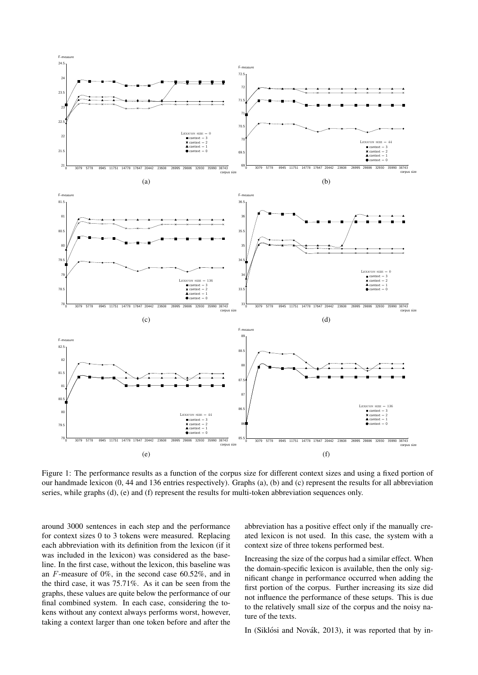

Figure 1: The performance results as a function of the corpus size for different context sizes and using a fixed portion of our handmade lexicon (0, 44 and 136 entries respectively). Graphs (a), (b) and (c) represent the results for all abbreviation series, while graphs (d), (e) and (f) represent the results for multi-token abbreviation sequences only.

around 3000 sentences in each step and the performance for context sizes 0 to 3 tokens were measured. Replacing each abbreviation with its definition from the lexicon (if it was included in the lexicon) was considered as the baseline. In the first case, without the lexicon, this baseline was an F-measure of 0%, in the second case 60.52%, and in the third case, it was 75.71%. As it can be seen from the graphs, these values are quite below the performance of our final combined system. In each case, considering the tokens without any context always performs worst, however, taking a context larger than one token before and after the abbreviation has a positive effect only if the manually created lexicon is not used. In this case, the system with a context size of three tokens performed best.

Increasing the size of the corpus had a similar effect. When the domain-specific lexicon is available, then the only significant change in performance occurred when adding the first portion of the corpus. Further increasing its size did not influence the performance of these setups. This is due to the relatively small size of the corpus and the noisy nature of the texts.

In (Siklósi and Novák, 2013), it was reported that by in-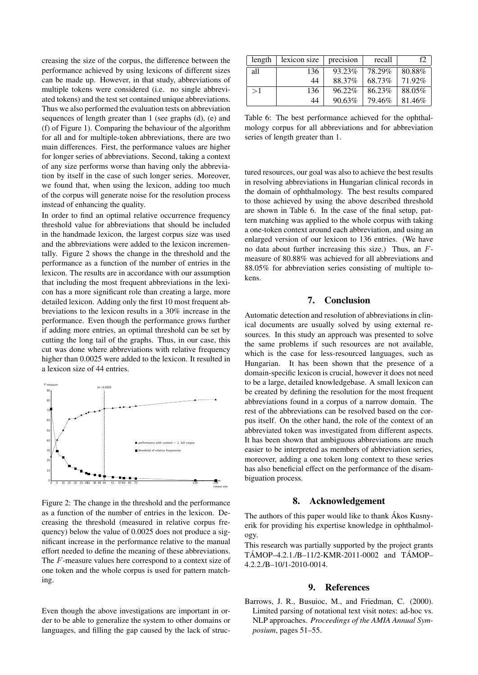creasing the size of the corpus, the difference between the performance achieved by using lexicons of different sizes can be made up. However, in that study, abbreviations of multiple tokens were considered (i.e. no single abbreviated tokens) and the test set contained unique abbreviations. Thus we also performed the evaluation tests on abbreviation sequences of length greater than 1 (see graphs (d), (e) and (f) of Figure 1). Comparing the behaviour of the algorithm for all and for multiple-token abbreviations, there are two main differences. First, the performance values are higher for longer series of abbreviations. Second, taking a context of any size performs worse than having only the abbreviation by itself in the case of such longer series. Moreover, we found that, when using the lexicon, adding too much of the corpus will generate noise for the resolution process instead of enhancing the quality.

In order to find an optimal relative occurrence frequency threshold value for abbreviations that should be included in the handmade lexicon, the largest corpus size was used and the abbreviations were added to the lexicon incrementally. Figure 2 shows the change in the threshold and the performance as a function of the number of entries in the lexicon. The results are in accordance with our assumption that including the most frequent abbreviations in the lexicon has a more significant role than creating a large, more detailed lexicon. Adding only the first 10 most frequent abbreviations to the lexicon results in a 30% increase in the performance. Even though the performance grows further if adding more entries, an optimal threshold can be set by cutting the long tail of the graphs. Thus, in our case, this cut was done where abbreviations with relative frequency higher than 0.0025 were added to the lexicon. It resulted in a lexicon size of 44 entries.



Figure 2: The change in the threshold and the performance as a function of the number of entries in the lexicon. Decreasing the threshold (measured in relative corpus frequency) below the value of 0.0025 does not produce a significant increase in the performance relative to the manual effort needed to define the meaning of these abbreviations. The F-measure values here correspond to a context size of one token and the whole corpus is used for pattern matching.

Even though the above investigations are important in order to be able to generalize the system to other domains or languages, and filling the gap caused by the lack of struc-

| length | lexicon size | precision | recall | ťЭ     |
|--------|--------------|-----------|--------|--------|
| all    | 136          | 93.23%    | 78.29% | 80.88% |
|        | 44           | 88.37%    | 68.73% | 71.92% |
| >1     | 136          | 96.22%    | 86.23% | 88.05% |
|        | 44           | 90.63%    | 79.46% | 81.46% |

Table 6: The best performance achieved for the ophthalmology corpus for all abbreviations and for abbreviation series of length greater than 1.

tured resources, our goal was also to achieve the best results in resolving abbreviations in Hungarian clinical records in the domain of ophthalmology. The best results compared to those achieved by using the above described threshold are shown in Table 6. In the case of the final setup, pattern matching was applied to the whole corpus with taking a one-token context around each abbreviation, and using an enlarged version of our lexicon to 136 entries. (We have no data about further increasing this size.) Thus, an Fmeasure of 80.88% was achieved for all abbreviations and 88.05% for abbreviation series consisting of multiple tokens.

### 7. Conclusion

Automatic detection and resolution of abbreviations in clinical documents are usually solved by using external resources. In this study an approach was presented to solve the same problems if such resources are not available, which is the case for less-resourced languages, such as Hungarian. It has been shown that the presence of a domain-specific lexicon is crucial, however it does not need to be a large, detailed knowledgebase. A small lexicon can be created by defining the resolution for the most frequent abbreviations found in a corpus of a narrow domain. The rest of the abbreviations can be resolved based on the corpus itself. On the other hand, the role of the context of an abbreviated token was investigated from different aspects. It has been shown that ambiguous abbreviations are much easier to be interpreted as members of abbreviation series, moreover, adding a one token long context to these series has also beneficial effect on the performance of the disambiguation process.

#### 8. Acknowledgement

The authors of this paper would like to thank Akos Kusnyerik for providing his expertise knowledge in ophthalmology.

This research was partially supported by the project grants  $TAMOP-4.2.1$ ./B- $11/2-KMR-2011-0002$  and  $TAMOP-$ 4.2.2./B–10/1-2010-0014.

#### 9. References

Barrows, J. R., Busuioc, M., and Friedman, C. (2000). Limited parsing of notational text visit notes: ad-hoc vs. NLP approaches. *Proceedings of the AMIA Annual Symposium*, pages 51–55.